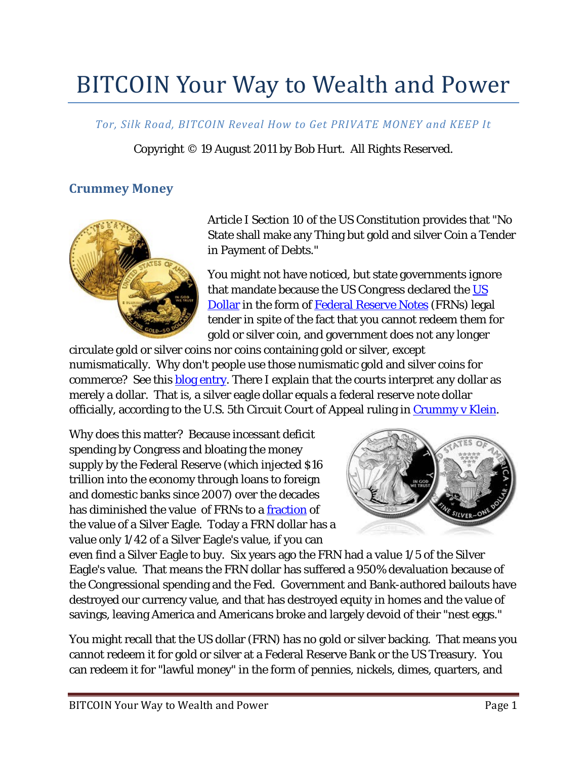# BITCOIN Your Way to Wealth and Power

#### *Tor, Silk Road, BITCOIN Reveal How to Get PRIVATE MONEY and KEEP It*

#### Copyright © 19 August 2011 by Bob Hurt. All Rights Reserved.

#### **Crummey Money**



Article I Section 10 of the US Constitution provides that "No State shall make any Thing but gold and silver Coin a Tender in Payment of Debts."

You might not have noticed, but state governments ignore that mandate because the US Congress declared the US Dollar in the form of Federal Reserve Notes (FRNs) legal tender in spite of the fact that you cannot redeem them for gold or silver coin, and government does not any longer

circulate gold or silver coins nor coins containing gold or silver, except numismatically. Why don't people use those numismatic gold and silver coins for commerce? See this blog entry. There I explain that the courts interpret any dollar as merely a dollar. That is, a silver eagle dollar equals a federal reserve note dollar officially, according to the U.S. 5th Circuit Court of Appeal ruling in Crummy v Klein.

Why does this matter? Because incessant deficit spending by Congress and bloating the money supply by the Federal Reserve (which injected \$16 trillion into the economy through loans to foreign and domestic banks since 2007) over the decades has diminished the value of FRNs to a fraction of the value of a Silver Eagle. Today a FRN dollar has a value only 1/42 of a Silver Eagle's value, if you can



even find a Silver Eagle to buy. Six years ago the FRN had a value 1/5 of the Silver Eagle's value. That means the FRN dollar has suffered a 950% devaluation because of the Congressional spending and the Fed. Government and Bank-authored bailouts have destroyed our currency value, and that has destroyed equity in homes and the value of savings, leaving America and Americans broke and largely devoid of their "nest eggs."

You might recall that the US dollar (FRN) has no gold or silver backing. That means you cannot redeem it for gold or silver at a Federal Reserve Bank or the US Treasury. You can redeem it for "lawful money" in the form of pennies, nickels, dimes, quarters, and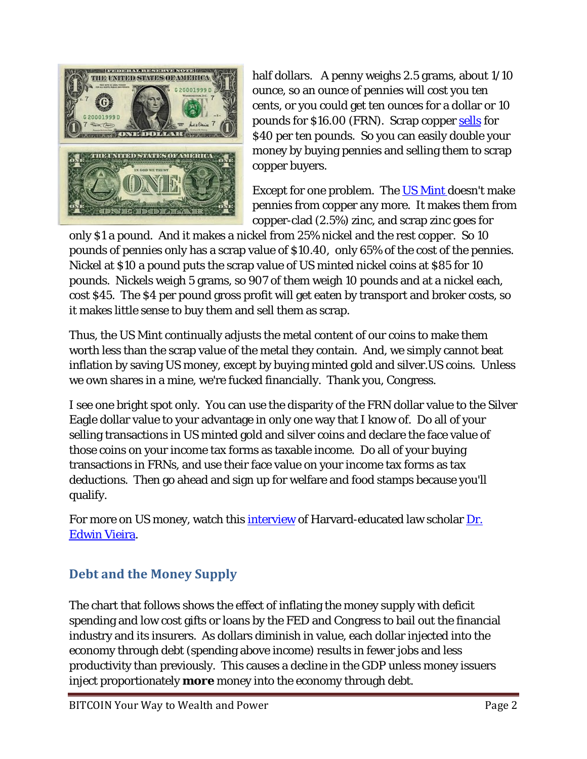

half dollars. A penny weighs 2.5 grams, about 1/10 ounce, so an ounce of pennies will cost you ten cents, or you could get ten ounces for a dollar or 10 pounds for \$16.00 (FRN). Scrap copper sells for \$40 per ten pounds. So you can easily double your money by buying pennies and selling them to scrap copper buyers.

Except for one problem. The US Mint doesn't make pennies from copper any more. It makes them from copper-clad (2.5%) zinc, and scrap zinc goes for

only \$1 a pound. And it makes a nickel from 25% nickel and the rest copper. So 10 pounds of pennies only has a scrap value of \$10.40, only 65% of the cost of the pennies. Nickel at \$10 a pound puts the scrap value of US minted nickel coins at \$85 for 10 pounds. Nickels weigh 5 grams, so 907 of them weigh 10 pounds and at a nickel each, cost \$45. The \$4 per pound gross profit will get eaten by transport and broker costs, so it makes little sense to buy them and sell them as scrap.

Thus, the US Mint continually adjusts the metal content of our coins to make them worth less than the scrap value of the metal they contain. And, we simply cannot beat inflation by saving US money, except by buying minted gold and silver.US coins. Unless we own shares in a mine, we're fucked financially. Thank you, Congress.

I see one bright spot only. You can use the disparity of the FRN dollar value to the Silver Eagle dollar value to your advantage in only one way that I know of. Do all of your selling transactions in US minted gold and silver coins and declare the face value of those coins on your income tax forms as taxable income. Do all of your buying transactions in FRNs, and use their face value on your income tax forms as tax deductions. Then go ahead and sign up for welfare and food stamps because you'll qualify.

For more on US money, watch this *interview* of Harvard-educated law scholar Dr. Edwin Vieira.

# **Debt and the Money Supply**

The chart that follows shows the effect of inflating the money supply with deficit spending and low cost gifts or loans by the FED and Congress to bail out the financial industry and its insurers. As dollars diminish in value, each dollar injected into the economy through debt (spending above income) results in fewer jobs and less productivity than previously. This causes a decline in the GDP unless money issuers inject proportionately *more* money into the economy through debt.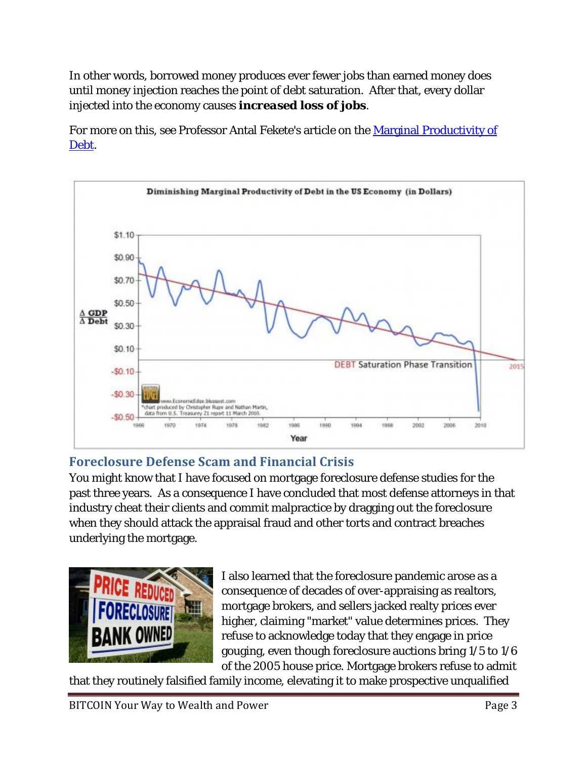In other words, borrowed money produces ever fewer jobs than earned money does until money injection reaches the point of debt saturation. After that, every dollar injected into the economy causes *increased loss of jobs*.

For more on this, see Professor Antal Fekete's article on the Marginal Productivity of Debt.



#### **Foreclosure Defense Scam and Financial Crisis**

You might know that I have focused on mortgage foreclosure defense studies for the past three years. As a consequence I have concluded that most defense attorneys in that industry cheat their clients and commit malpractice by dragging out the foreclosure when they should attack the appraisal fraud and other torts and contract breaches underlying the mortgage.



I also learned that the foreclosure pandemic arose as a consequence of decades of over-appraising as realtors, mortgage brokers, and sellers jacked realty prices ever higher, claiming "market" value determines prices. They refuse to acknowledge today that they engage in price gouging, even though foreclosure auctions bring 1/5 to 1/6 of the 2005 house price. Mortgage brokers refuse to admit

that they routinely falsified family income, elevating it to make prospective unqualified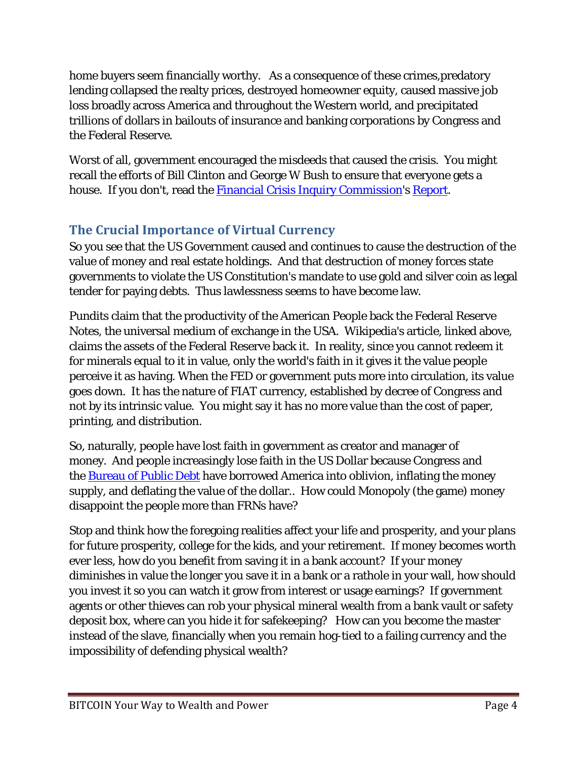home buyers seem financially worthy. As a consequence of these crimes,predatory lending collapsed the realty prices, destroyed homeowner equity, caused massive job loss broadly across America and throughout the Western world, and precipitated trillions of dollars in bailouts of insurance and banking corporations by Congress and the Federal Reserve.

Worst of all, government encouraged the misdeeds that caused the crisis. You might recall the efforts of Bill Clinton and George W Bush to ensure that everyone gets a house. If you don't, read the **Financial Crisis Inquiry Commission's Report**.

# **The Crucial Importance of Virtual Currency**

So you see that the US Government caused and continues to cause the destruction of the value of money and real estate holdings. And that destruction of money forces state governments to violate the US Constitution's mandate to use gold and silver coin as legal tender for paying debts. Thus lawlessness seems to have become law.

Pundits claim that the productivity of the American People back the Federal Reserve Notes, the universal medium of exchange in the USA. Wikipedia's article, linked above, claims the assets of the Federal Reserve back it. In reality, since you cannot redeem it for minerals equal to it in value, only the world's faith in it gives it the value people perceive it as having. When the FED or government puts more into circulation, its value goes down. It has the nature of FIAT currency, established by decree of Congress and not by its intrinsic value. You might say it has no more value than the cost of paper, printing, and distribution.

So, naturally, people have lost faith in government as creator and manager of money. And people increasingly lose faith in the US Dollar because Congress and the Bureau of Public Debt have borrowed America into oblivion, inflating the money supply, and deflating the value of the dollar.. How could Monopoly (the game) money disappoint the people more than FRNs have?

Stop and think how the foregoing realities affect your life and prosperity, and your plans for future prosperity, college for the kids, and your retirement. If money becomes worth ever less, how do you benefit from saving it in a bank account? If your money diminishes in value the longer you save it in a bank or a rathole in your wall, how should you invest it so you can watch it grow from interest or usage earnings? If government agents or other thieves can rob your physical mineral wealth from a bank vault or safety deposit box, where can you hide it for safekeeping? How can you become the master instead of the slave, financially when you remain hog-tied to a failing currency and the impossibility of defending physical wealth?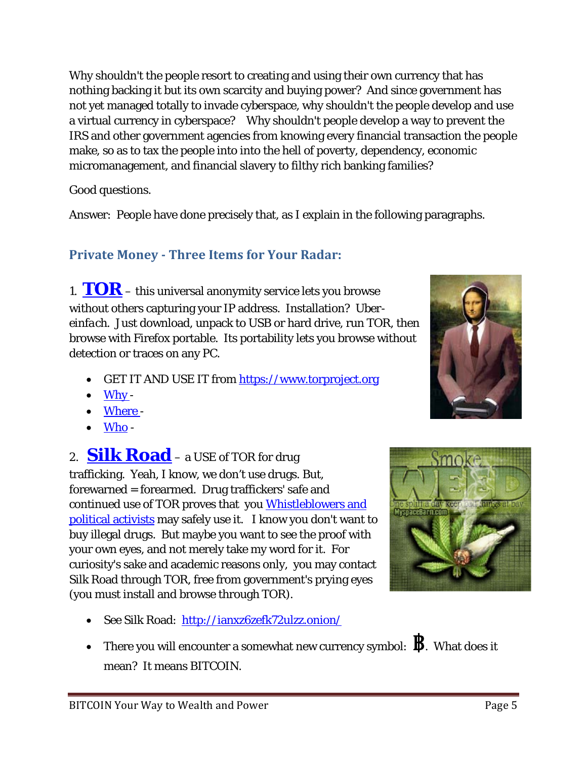Why shouldn't the people resort to creating and using their own currency that has nothing backing it but its own scarcity and buying power? And since government has not yet managed totally to invade cyberspace, why shouldn't the people develop and use a virtual currency in cyberspace? Why shouldn't people develop a way to prevent the IRS and other government agencies from knowing every financial transaction the people make, so as to tax the people into into the hell of poverty, dependency, economic micromanagement, and financial slavery to filthy rich banking families?

Good questions.

Answer: People have done precisely that, as I explain in the following paragraphs.

# **Private Money ‐ Three Items for Your Radar:**

1. **TOR** – this universal anonymity service lets you browse without others capturing your IP address. Installation? *Ubereinfach*. Just download, unpack to USB or hard drive, run TOR, then browse with Firefox portable. Its portability lets you browse without detection or traces on any PC.

- GET IT AND USE IT from https://www.torproject.org
- $\bullet$  Why-
- Where -
- Who -

# 2. **Silk Road** – a USE of TOR for drug

trafficking. Yeah, I know, we don't use drugs. But, forewarned = forearmed. Drug traffickers' safe and continued use of TOR proves that you Whistleblowers and political activists may safely use it. I know you don't want to buy illegal drugs. But maybe you want to see the proof with your own eyes, and not merely take my word for it. For curiosity's sake and academic reasons only, you may contact Silk Road through TOR, free from government's prying eyes (you must install and browse through TOR).

- See Silk Road: http://ianxz6zefk72ulzz.onion/
- There you will encounter a somewhat new currency symbol:  $\mathbf{B}$ . What does it mean? It means BITCOIN.





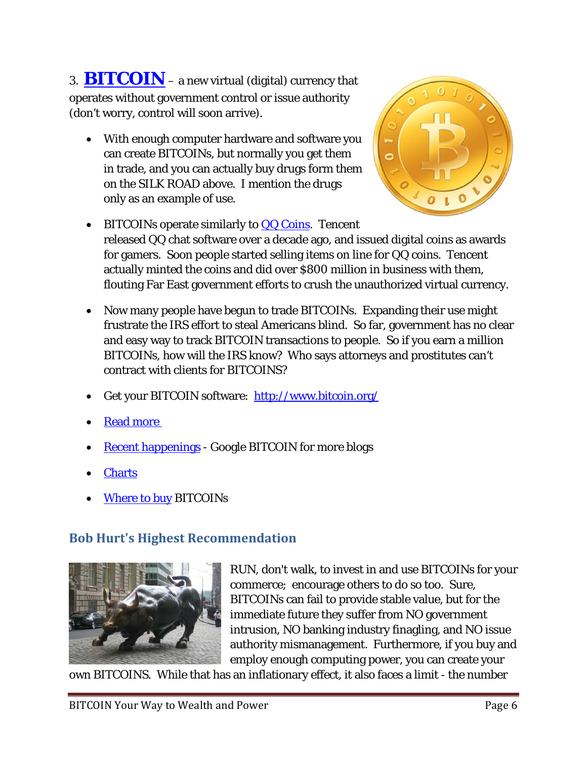- 3. **BITCOIN** a new virtual (digital) currency that operates without government control or issue authority (don't worry, control will soon arrive).
	- With enough computer hardware and software you can create BITCOINs, but normally you get them in trade, and you can actually buy drugs form them on the SILK ROAD above. I mention the drugs only as an example of use.



- $\bullet$  BITCOINs operate similarly to  $QQ$  Coins. Tencent released QQ chat software over a decade ago, and issued digital coins as awards for gamers. Soon people started selling items on line for QQ coins. Tencent actually minted the coins and did over \$800 million in business with them, flouting Far East government efforts to crush the unauthorized virtual currency.
- Now many people have begun to trade BITCOINs. Expanding their use might frustrate the IRS effort to steal Americans blind. So far, government has no clear and easy way to track BITCOIN transactions to people. So if you earn a million BITCOINs, how will the IRS know? Who says attorneys and prostitutes can't contract with clients for BITCOINS?
- Get your BITCOIN software: http://www.bitcoin.org/
- Read more
- Recent happenings Google BITCOIN for more blogs
- **Charts**
- Where to buy BITCOINs

#### **Bob Hurt's Highest Recommendation**



RUN, don't walk, to invest in and use BITCOINs for your commerce; encourage others to do so too. Sure, BITCOINs can fail to provide stable value, but for the immediate future they suffer from NO government intrusion, NO banking industry finagling, and NO issue authority mismanagement. Furthermore, if you buy and employ enough computing power, you can create your

own BITCOINS. While that has an inflationary effect, it also faces a limit - the number